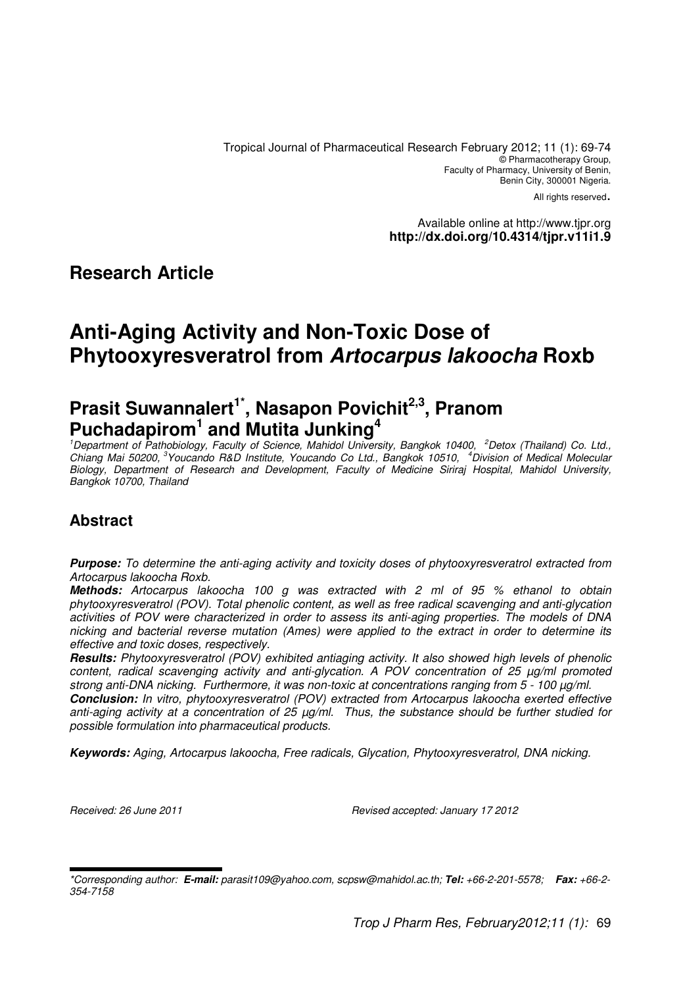Tropical Journal of Pharmaceutical Research February 2012; 11 (1): 69-74 © Pharmacotherapy Group, Faculty of Pharmacy, University of Benin, Benin City, 300001 Nigeria.

All rights reserved.

Available online at http://www.tjpr.org **http://dx.doi.org/10.4314/tjpr.v11i1.9**

### **Research Article**

# **Anti-Aging Activity and Non-Toxic Dose of Phytooxyresveratrol from Artocarpus lakoocha Roxb**

# **Prasit Suwannalert1\*, Nasapon Povichit2,3, Pranom Puchadapirom<sup>1</sup> and Mutita Junking<sup>4</sup>**

<sup>1</sup>Department of Pathobiology, Faculty of Science, Mahidol University, Bangkok 10400, <sup>2</sup>Detox (Thailand) Co. Ltd., Chiang Mai 50200,<sup>3</sup>Youcando R&D Institute, Youcando Co Ltd., Bangkok 10510, <sup>4</sup>Division of Medical Molecular Biology, Department of Research and Development, Faculty of Medicine Siriraj Hospital, Mahidol University, Bangkok 10700, Thailand

## **Abstract**

**Purpose:** To determine the anti-aging activity and toxicity doses of phytooxyresveratrol extracted from Artocarpus lakoocha Roxb.

**Methods:** Artocarpus lakoocha 100 g was extracted with 2 ml of 95 % ethanol to obtain phytooxyresveratrol (POV). Total phenolic content, as well as free radical scavenging and anti-glycation activities of POV were characterized in order to assess its anti-aging properties. The models of DNA nicking and bacterial reverse mutation (Ames) were applied to the extract in order to determine its effective and toxic doses, respectively.

**Results:** Phytooxyresveratrol (POV) exhibited antiaging activity. It also showed high levels of phenolic content, radical scavenging activity and anti-glycation. A POV concentration of 25 µg/ml promoted strong anti-DNA nicking. Furthermore, it was non-toxic at concentrations ranging from 5 - 100 µg/ml.

**Conclusion:** In vitro, phytooxyresveratrol (POV) extracted from Artocarpus lakoocha exerted effective anti-aging activity at a concentration of 25 µg/ml. Thus, the substance should be further studied for possible formulation into pharmaceutical products.

**Keywords:** Aging, Artocarpus lakoocha, Free radicals, Glycation, Phytooxyresveratrol, DNA nicking.

Received: 26 June 2011 Revised accepted: January 17 2012

<sup>\*</sup>Corresponding author: **E-mail:** parasit109@yahoo.com, scpsw@mahidol.ac.th; **Tel:** +66-2-201-5578; **Fax:** +66-2- 354-7158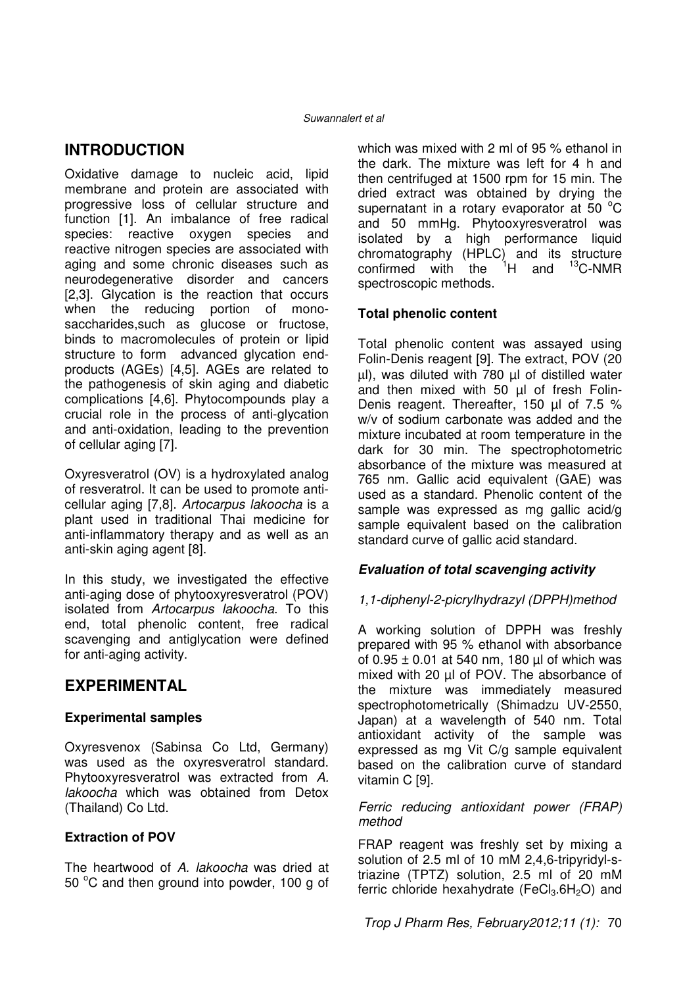### **INTRODUCTION**

Oxidative damage to nucleic acid, lipid membrane and protein are associated with progressive loss of cellular structure and function [1]. An imbalance of free radical species: reactive oxygen species and reactive nitrogen species are associated with aging and some chronic diseases such as neurodegenerative disorder and cancers [2,3]. Glycation is the reaction that occurs when the reducing portion of monosaccharides,such as glucose or fructose, binds to macromolecules of protein or lipid structure to form advanced glycation endproducts (AGEs) [4,5]. AGEs are related to the pathogenesis of skin aging and diabetic complications [4,6]. Phytocompounds play a crucial role in the process of anti-glycation and anti-oxidation, leading to the prevention of cellular aging [7].

Oxyresveratrol (OV) is a hydroxylated analog of resveratrol. It can be used to promote anticellular aging [7,8]. Artocarpus lakoocha is a plant used in traditional Thai medicine for anti-inflammatory therapy and as well as an anti-skin aging agent [8].

In this study, we investigated the effective anti-aging dose of phytooxyresveratrol (POV) isolated from Artocarpus lakoocha. To this end, total phenolic content, free radical scavenging and antiglycation were defined for anti-aging activity.

## **EXPERIMENTAL**

### **Experimental samples**

Oxyresvenox (Sabinsa Co Ltd, Germany) was used as the oxyresveratrol standard. Phytooxyresveratrol was extracted from A. lakoocha which was obtained from Detox (Thailand) Co Ltd.

### **Extraction of POV**

The heartwood of A. lakoocha was dried at 50 °C and then ground into powder, 100 g of which was mixed with 2 ml of 95 % ethanol in the dark. The mixture was left for 4 h and then centrifuged at 1500 rpm for 15 min. The dried extract was obtained by drying the supernatant in a rotary evaporator at 50 $\degree$ C and 50 mmHg. Phytooxyresveratrol was isolated by a high performance liquid chromatography (HPLC) and its structure<br>confirmed with the  $^{1}$ H and  $^{13}$ C-NMR confirmed with the spectroscopic methods.

### **Total phenolic content**

Total phenolic content was assayed using Folin-Denis reagent [9]. The extract, POV (20 µl), was diluted with 780 µl of distilled water and then mixed with 50 µl of fresh Folin-Denis reagent. Thereafter, 150 µl of 7.5 % w/v of sodium carbonate was added and the mixture incubated at room temperature in the dark for 30 min. The spectrophotometric absorbance of the mixture was measured at 765 nm. Gallic acid equivalent (GAE) was used as a standard. Phenolic content of the sample was expressed as mg gallic acid/g sample equivalent based on the calibration standard curve of gallic acid standard.

### **Evaluation of total scavenging activity**

### 1,1-diphenyl-2-picrylhydrazyl (DPPH)method

A working solution of DPPH was freshly prepared with 95 % ethanol with absorbance of  $0.95 \pm 0.01$  at 540 nm, 180 µl of which was mixed with 20 µl of POV. The absorbance of the mixture was immediately measured spectrophotometrically (Shimadzu UV-2550, Japan) at a wavelength of 540 nm. Total antioxidant activity of the sample was expressed as mg Vit C/g sample equivalent based on the calibration curve of standard vitamin C [9].

#### Ferric reducing antioxidant power (FRAP) method

FRAP reagent was freshly set by mixing a solution of 2.5 ml of 10 mM 2,4,6-tripyridyl-striazine (TPTZ) solution, 2.5 ml of 20 mM ferric chloride hexahydrate (FeCl<sub>3</sub>.6H<sub>2</sub>O) and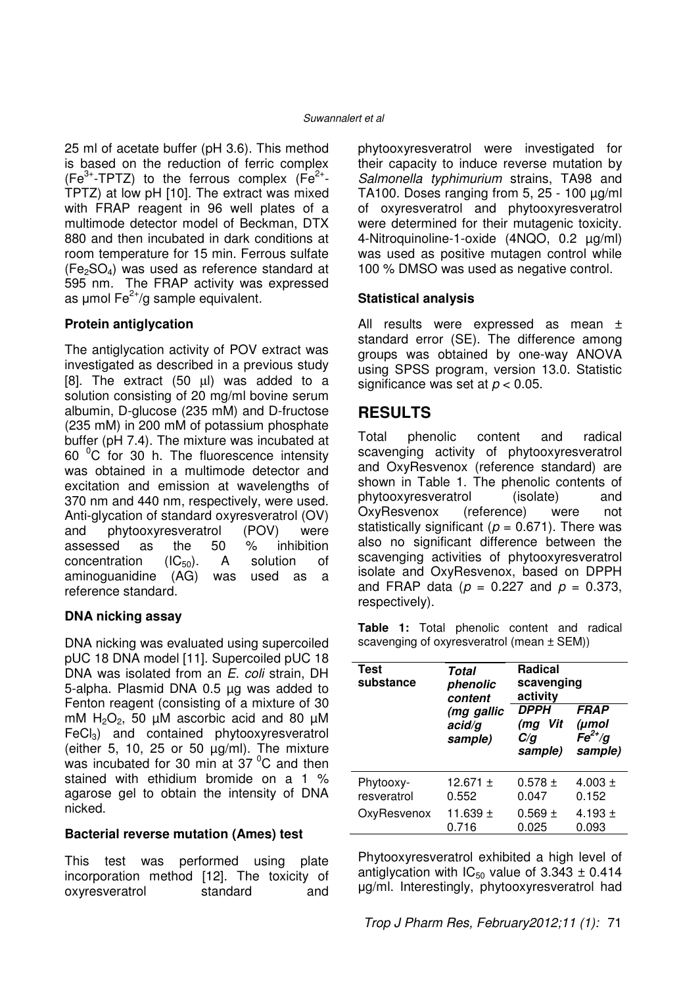25 ml of acetate buffer (pH 3.6). This method is based on the reduction of ferric complex (Fe<sup>3+</sup>-TPTZ) to the ferrous complex (Fe<sup>2+</sup>-TPTZ) at low pH [10]. The extract was mixed with FRAP reagent in 96 well plates of a multimode detector model of Beckman, DTX 880 and then incubated in dark conditions at room temperature for 15 min. Ferrous sulfate  $(Fe<sub>2</sub>SO<sub>4</sub>)$  was used as reference standard at 595 nm. The FRAP activity was expressed as  $\mu$ mol Fe<sup>2+</sup>/g sample equivalent.

#### **Protein antiglycation**

The antiglycation activity of POV extract was investigated as described in a previous study [8]. The extract (50 µl) was added to a solution consisting of 20 mg/ml bovine serum albumin, D-glucose (235 mM) and D-fructose (235 mM) in 200 mM of potassium phosphate buffer (pH 7.4). The mixture was incubated at 60 $\degree$ C for 30 h. The fluorescence intensity was obtained in a multimode detector and excitation and emission at wavelengths of 370 nm and 440 nm, respectively, were used. Anti-glycation of standard oxyresveratrol (OV) and phytooxyresveratrol (POV) were assessed as the 50 % inhibition concentration  $(IC_{50})$ . A solution of aminoguanidine (AG) was used as a reference standard.

#### **DNA nicking assay**

DNA nicking was evaluated using supercoiled pUC 18 DNA model [11]. Supercoiled pUC 18 DNA was isolated from an E. coli strain, DH 5-alpha. Plasmid DNA 0.5 µg was added to Fenton reagent (consisting of a mixture of 30 mM  $H_2O_2$ , 50 µM ascorbic acid and 80 µM  $FeCl<sub>3</sub>$ ) and contained phytooxyresveratrol (either  $5$ ,  $10$ ,  $25$  or  $50 \mu g/ml$ ). The mixture was incubated for 30 min at  $37<sup>0</sup>C$  and then stained with ethidium bromide on a 1 % agarose gel to obtain the intensity of DNA nicked.

#### **Bacterial reverse mutation (Ames) test**

This test was performed using plate incorporation method [12]. The toxicity of oxyresveratrol standard and phytooxyresveratrol were investigated for their capacity to induce reverse mutation by Salmonella typhimurium strains, TA98 and TA100. Doses ranging from  $5, 25 - 100 \mu g/ml$ of oxyresveratrol and phytooxyresveratrol were determined for their mutagenic toxicity. 4-Nitroquinoline-1-oxide (4NQO, 0.2 µg/ml) was used as positive mutagen control while 100 % DMSO was used as negative control.

#### **Statistical analysis**

All results were expressed as mean ± standard error (SE). The difference among groups was obtained by one-way ANOVA using SPSS program, version 13.0. Statistic significance was set at  $p < 0.05$ .

### **RESULTS**

Total phenolic content and radical scavenging activity of phytooxyresveratrol and OxyResvenox (reference standard) are shown in Table 1. The phenolic contents of phytooxyresveratrol (isolate) and OxyResvenox (reference) were not statistically significant ( $p = 0.671$ ). There was also no significant difference between the scavenging activities of phytooxyresveratrol isolate and OxyResvenox, based on DPPH and FRAP data ( $p = 0.227$  and  $p = 0.373$ , respectively).

**Table 1:** Total phenolic content and radical scavenging of oxyresveratrol (mean ± SEM))

| <b>Test</b><br>substance | Total<br>phenolic<br>content    | <b>Radical</b><br>scavenging<br>activity    |                                                           |
|--------------------------|---------------------------------|---------------------------------------------|-----------------------------------------------------------|
|                          | (mg gallic<br>acid/g<br>sample) | <b>DPPH</b><br>Vit<br>(mg<br>C/q<br>sample) | <b>FRAP</b><br>(µmol<br>$\overline{Fe}^{2+}/g$<br>sample) |
| Phytooxy-                | 12.671 $\pm$                    | $0.578 \pm$                                 | $4.003 \pm$                                               |
| resveratrol              | 0.552                           | 0.047                                       | 0.152                                                     |
| OxyResvenox              | 11.639 $\pm$                    | $0.569 \pm$                                 | 4.193 $\pm$                                               |
|                          | 0.716                           | 0.025                                       | 0.093                                                     |

Phytooxyresveratrol exhibited a high level of antiglycation with  $IC_{50}$  value of 3.343  $\pm$  0.414 µg/ml. Interestingly, phytooxyresveratrol had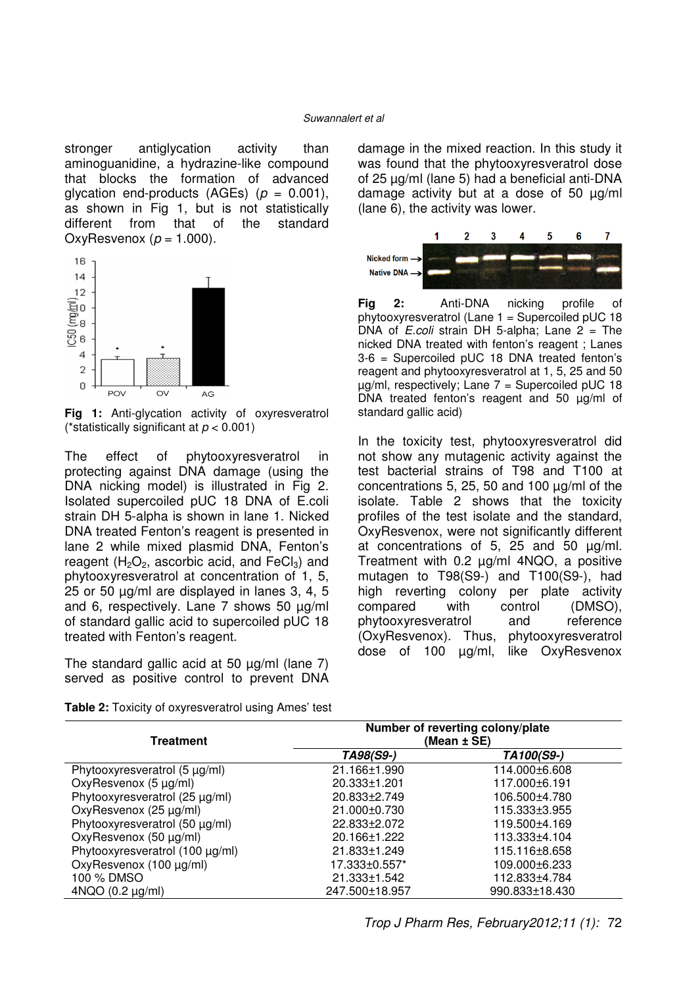#### Suwannalert et al

stronger antiglycation activity than aminoguanidine, a hydrazine-like compound that blocks the formation of advanced glycation end-products (AGEs) ( $p = 0.001$ ), as shown in Fig 1, but is not statistically<br>different from that of the standard different from that of the standard OxyResvenox ( $p = 1.000$ ).



**Fig 1:** Anti-glycation activity of oxyresveratrol (\*statistically significant at  $p < 0.001$ )

The effect of phytooxyresveratrol in protecting against DNA damage (using the DNA nicking model) is illustrated in Fig 2. Isolated supercoiled pUC 18 DNA of E.coli strain DH 5-alpha is shown in lane 1. Nicked DNA treated Fenton's reagent is presented in lane 2 while mixed plasmid DNA, Fenton's reagent  $(H_2O_2)$ , ascorbic acid, and FeCl<sub>3</sub>) and phytooxyresveratrol at concentration of 1, 5, 25 or 50 µg/ml are displayed in lanes 3, 4, 5 and 6, respectively. Lane 7 shows 50 µg/ml of standard gallic acid to supercoiled pUC 18 treated with Fenton's reagent.

The standard gallic acid at 50  $\mu$ g/ml (lane 7) served as positive control to prevent DNA

**Table 2:** Toxicity of oxyresveratrol using Ames' test

damage in the mixed reaction. In this study it was found that the phytooxyresveratrol dose of 25 µg/ml (lane 5) had a beneficial anti-DNA damage activity but at a dose of 50 µg/ml (lane 6), the activity was lower.



Fig 2: Anti-DNA nicking profile of phytooxyresveratrol (Lane 1 = Supercoiled pUC 18 DNA of *E.coli* strain DH 5-alpha; Lane  $2 =$  The nicked DNA treated with fenton's reagent ; Lanes 3-6 = Supercoiled pUC 18 DNA treated fenton's reagent and phytooxyresveratrol at 1, 5, 25 and 50  $\mu$ g/ml, respectively; Lane 7 = Supercoiled pUC 18 DNA treated fenton's reagent and 50 µg/ml of standard gallic acid)

In the toxicity test, phytooxyresveratrol did not show any mutagenic activity against the test bacterial strains of T98 and T100 at concentrations 5, 25, 50 and 100 µg/ml of the isolate. Table 2 shows that the toxicity profiles of the test isolate and the standard, OxyResvenox, were not significantly different at concentrations of 5, 25 and 50 µg/ml. Treatment with 0.2 µg/ml 4NQO, a positive mutagen to T98(S9-) and T100(S9-), had high reverting colony per plate activity compared with control (DMSO), phytooxyresveratrol and reference (OxyResvenox). Thus, phytooxyresveratrol dose of 100 µg/ml, like OxyResvenox

| Treatment                          | Number of reverting colony/plate<br>(Mean ± SE) |                |  |
|------------------------------------|-------------------------------------------------|----------------|--|
|                                    | TA98(S9-)                                       | TA100(S9-)     |  |
| Phytooxyresveratrol $(5 \mu g/ml)$ | 21.166±1.990                                    | 114.000±6.608  |  |
| OxyResvenox (5 µg/ml)              | 20.333±1.201                                    | 117.000±6.191  |  |
| Phytooxyresveratrol (25 µg/ml)     | 20.833±2.749                                    | 106.500±4.780  |  |
| OxyResvenox (25 µg/ml)             | 21.000±0.730                                    | 115.333±3.955  |  |
| Phytooxyresveratrol (50 µg/ml)     | 22.833±2.072                                    | 119.500±4.169  |  |
| OxyResvenox (50 µg/ml)             | 20.166±1.222                                    | 113.333±4.104  |  |
| Phytooxyresveratrol (100 µg/ml)    | 21.833±1.249                                    | 115.116±8.658  |  |
| OxyResvenox (100 µg/ml)            | 17.333±0.557*                                   | 109.000±6.233  |  |
| 100 % DMSO                         | 21.333±1.542                                    | 112.833±4.784  |  |
| $4NQO (0.2 \mu g/ml)$              | 247.500±18.957                                  | 990.833±18.430 |  |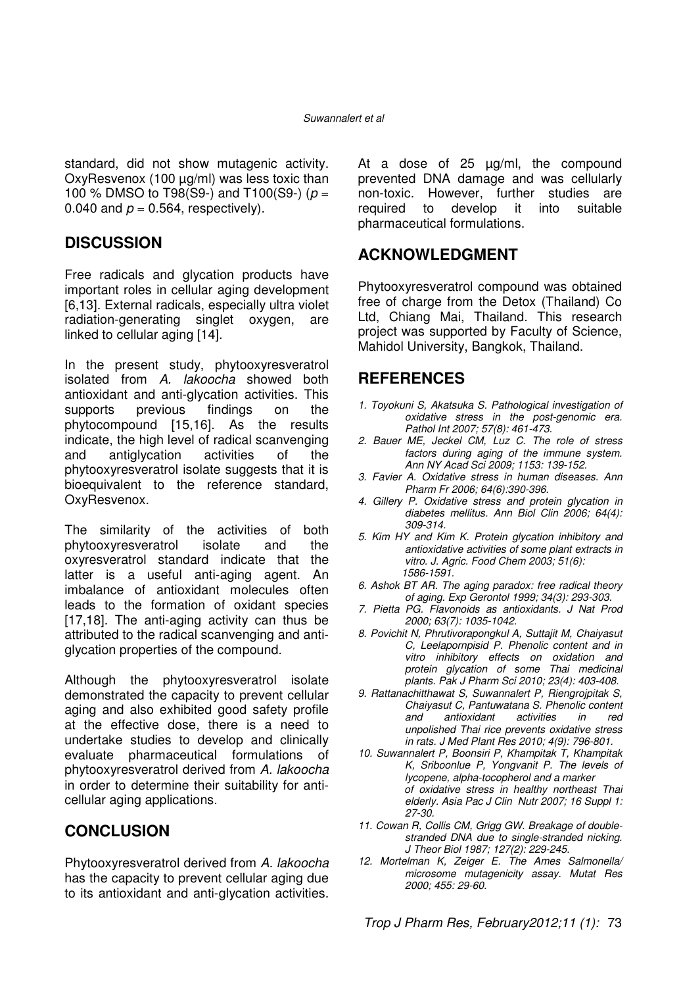standard, did not show mutagenic activity. OxyResvenox (100 µg/ml) was less toxic than 100 % DMSO to T98(S9-) and T100(S9-) ( $p =$ 0.040 and  $p = 0.564$ , respectively).

### **DISCUSSION**

Free radicals and glycation products have important roles in cellular aging development [6,13]. External radicals, especially ultra violet radiation-generating singlet oxygen, are linked to cellular aging [14].

In the present study, phytooxyresveratrol isolated from A. lakoocha showed both antioxidant and anti-glycation activities. This supports previous findings on the phytocompound [15,16]. As the results indicate, the high level of radical scanvenging and antiglycation activities of the phytooxyresveratrol isolate suggests that it is bioequivalent to the reference standard, OxyResvenox.

The similarity of the activities of both phytooxyresveratrol isolate and the oxyresveratrol standard indicate that the latter is a useful anti-aging agent. An imbalance of antioxidant molecules often leads to the formation of oxidant species [17,18]. The anti-aging activity can thus be attributed to the radical scanvenging and antiglycation properties of the compound.

Although the phytooxyresveratrol isolate demonstrated the capacity to prevent cellular aging and also exhibited good safety profile at the effective dose, there is a need to undertake studies to develop and clinically evaluate pharmaceutical formulations of phytooxyresveratrol derived from A. lakoocha in order to determine their suitability for anticellular aging applications.

### **CONCLUSION**

Phytooxyresveratrol derived from A. lakoocha has the capacity to prevent cellular aging due to its antioxidant and anti-glycation activities.

At a dose of 25 µg/ml, the compound prevented DNA damage and was cellularly non-toxic. However, further studies are required to develop it into suitable pharmaceutical formulations.

### **ACKNOWLEDGMENT**

Phytooxyresveratrol compound was obtained free of charge from the Detox (Thailand) Co Ltd, Chiang Mai, Thailand. This research project was supported by Faculty of Science, Mahidol University, Bangkok, Thailand.

### **REFERENCES**

- 1. Toyokuni S, Akatsuka S. Pathological investigation of oxidative stress in the post-genomic era. Pathol Int 2007; 57(8): 461-473.
- 2. Bauer ME, Jeckel CM, Luz C. The role of stress factors during aging of the immune system. Ann NY Acad Sci 2009; 1153: 139-152.
- 3. Favier A. Oxidative stress in human diseases. Ann Pharm Fr 2006; 64(6):390-396.
- 4. Gillery P. Oxidative stress and protein glycation in diabetes mellitus. Ann Biol Clin 2006; 64(4): 309-314.
- 5. Kim HY and Kim K. Protein glycation inhibitory and antioxidative activities of some plant extracts in vitro. J. Agric. Food Chem 2003; 51(6): 1586-1591.
- 6. Ashok BT AR. The aging paradox: free radical theory of aging. Exp Gerontol 1999; 34(3): 293-303.
- 7. Pietta PG. Flavonoids as antioxidants. J Nat Prod 2000; 63(7): 1035-1042.
- 8. Povichit N, Phrutivorapongkul A, Suttajit M, Chaiyasut C, Leelapornpisid P. Phenolic content and in vitro inhibitory effects on oxidation and protein glycation of some Thai medicinal plants. Pak J Pharm Sci 2010; 23(4): 403-408.
- 9. Rattanachitthawat S, Suwannalert P, Riengrojpitak S, Chaiyasut C, Pantuwatana S. Phenolic content<br>and antioxidant activities in red and antioxidant activities in red unpolished Thai rice prevents oxidative stress in rats. J Med Plant Res 2010; 4(9): 796-801.
- 10. Suwannalert P, Boonsiri P, Khampitak T, Khampitak K, Sriboonlue P, Yongvanit P. The levels of lycopene, alpha-tocopherol and a marker of oxidative stress in healthy northeast Thai elderly. Asia Pac J Clin Nutr 2007; 16 Suppl 1: 27-30.
- 11. Cowan R, Collis CM, Grigg GW. Breakage of doublestranded DNA due to single-stranded nicking. J Theor Biol 1987; 127(2): 229-245.
- 12. Mortelman K, Zeiger E. The Ames Salmonella/ microsome mutagenicity assay. Mutat Res 2000; 455: 29-60.